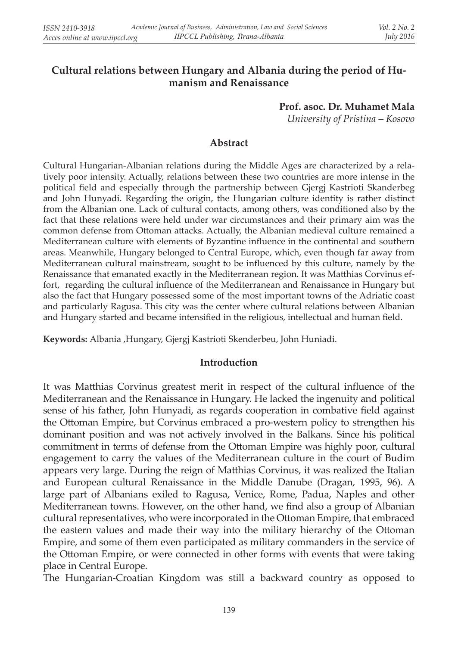# **Cultural relations between Hungary and Albania during the period of Humanism and Renaissance**

**Prof. asoc. Dr. Muhamet Mala** *University of Pristina – Kosovo*

### **Abstract**

Cultural Hungarian-Albanian relations during the Middle Ages are characterized by a relatively poor intensity. Actually, relations between these two countries are more intense in the political field and especially through the partnership between Gjergj Kastrioti Skanderbeg and John Hunyadi. Regarding the origin, the Hungarian culture identity is rather distinct from the Albanian one. Lack of cultural contacts, among others, was conditioned also by the fact that these relations were held under war circumstances and their primary aim was the common defense from Ottoman attacks. Actually, the Albanian medieval culture remained a Mediterranean culture with elements of Byzantine influence in the continental and southern areas. Meanwhile, Hungary belonged to Central Europe, which, even though far away from Mediterranean cultural mainstream, sought to be influenced by this culture, namely by the Renaissance that emanated exactly in the Mediterranean region. It was Matthias Corvinus effort, regarding the cultural influence of the Mediterranean and Renaissance in Hungary but also the fact that Hungary possessed some of the most important towns of the Adriatic coast and particularly Ragusa. This city was the center where cultural relations between Albanian and Hungary started and became intensified in the religious, intellectual and human field.

**Keywords:** Albania ,Hungary, Gjergj Kastrioti Skenderbeu, John Huniadi.

## **Introduction**

It was Matthias Corvinus greatest merit in respect of the cultural influence of the Mediterranean and the Renaissance in Hungary. He lacked the ingenuity and political sense of his father, John Hunyadi, as regards cooperation in combative field against the Ottoman Empire, but Corvinus embraced a pro-western policy to strengthen his dominant position and was not actively involved in the Balkans. Since his political commitment in terms of defense from the Ottoman Empire was highly poor, cultural engagement to carry the values of the Mediterranean culture in the court of Budim appears very large. During the reign of Matthias Corvinus, it was realized the Italian and European cultural Renaissance in the Middle Danube (Dragan, 1995, 96). A large part of Albanians exiled to Ragusa, Venice, Rome, Padua, Naples and other Mediterranean towns. However, on the other hand, we find also a group of Albanian cultural representatives, who were incorporated in the Ottoman Empire, that embraced the eastern values and made their way into the military hierarchy of the Ottoman Empire, and some of them even participated as military commanders in the service of the Ottoman Empire, or were connected in other forms with events that were taking place in Central Europe.

The Hungarian-Croatian Kingdom was still a backward country as opposed to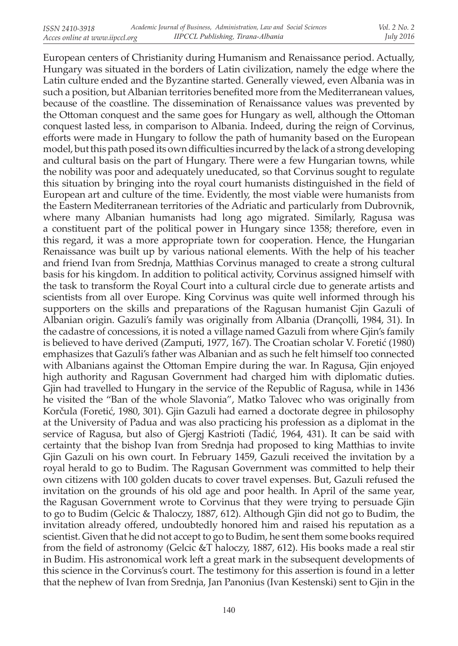European centers of Christianity during Humanism and Renaissance period. Actually, Hungary was situated in the borders of Latin civilization, namely the edge where the Latin culture ended and the Byzantine started. Generally viewed, even Albania was in such a position, but Albanian territories benefited more from the Mediterranean values, because of the coastline. The dissemination of Renaissance values was prevented by the Ottoman conquest and the same goes for Hungary as well, although the Ottoman conquest lasted less, in comparison to Albania. Indeed, during the reign of Corvinus, efforts were made in Hungary to follow the path of humanity based on the European model, but this path posed its own difficulties incurred by the lack of a strong developing and cultural basis on the part of Hungary. There were a few Hungarian towns, while the nobility was poor and adequately uneducated, so that Corvinus sought to regulate this situation by bringing into the royal court humanists distinguished in the field of European art and culture of the time. Evidently, the most viable were humanists from the Eastern Mediterranean territories of the Adriatic and particularly from Dubrovnik, where many Albanian humanists had long ago migrated. Similarly, Ragusa was a constituent part of the political power in Hungary since 1358; therefore, even in this regard, it was a more appropriate town for cooperation. Hence, the Hungarian Renaissance was built up by various national elements. With the help of his teacher and friend Ivan from Srednja, Matthias Corvinus managed to create a strong cultural basis for his kingdom. In addition to political activity, Corvinus assigned himself with the task to transform the Royal Court into a cultural circle due to generate artists and scientists from all over Europe. King Corvinus was quite well informed through his supporters on the skills and preparations of the Ragusan humanist Gjin Gazuli of Albanian origin. Gazuli's family was originally from Albania (Drançolli, 1984, 31). In the cadastre of concessions, it is noted a village named Gazuli from where Gjin's family is believed to have derived (Zamputi, 1977, 167). The Croatian scholar V. Foretić (1980) emphasizes that Gazuli's father was Albanian and as such he felt himself too connected with Albanians against the Ottoman Empire during the war. In Ragusa, Gjin enjoyed high authority and Ragusan Government had charged him with diplomatic duties. Gjin had travelled to Hungary in the service of the Republic of Ragusa, while in 1436 he visited the "Ban of the whole Slavonia", Matko Talovec who was originally from Korčula (Foretić, 1980, 301). Gjin Gazuli had earned a doctorate degree in philosophy at the University of Padua and was also practicing his profession as a diplomat in the service of Ragusa, but also of Gjergj Kastrioti (Tadić, 1964, 431). It can be said with certainty that the bishop Ivan from Srednja had proposed to king Matthias to invite Gjin Gazuli on his own court. In February 1459, Gazuli received the invitation by a royal herald to go to Budim. The Ragusan Government was committed to help their own citizens with 100 golden ducats to cover travel expenses. But, Gazuli refused the invitation on the grounds of his old age and poor health. In April of the same year, the Ragusan Government wrote to Corvinus that they were trying to persuade Gjin to go to Budim (Gelcic & Thaloczy, 1887, 612). Although Gjin did not go to Budim, the invitation already offered, undoubtedly honored him and raised his reputation as a scientist. Given that he did not accept to go to Budim, he sent them some books required from the field of astronomy (Gelcic &T haloczy, 1887, 612). His books made a real stir in Budim. His astronomical work left a great mark in the subsequent developments of this science in the Corvinus's court. The testimony for this assertion is found in a letter that the nephew of Ivan from Srednja, Jan Panonius (Ivan Kestenski) sent to Gjin in the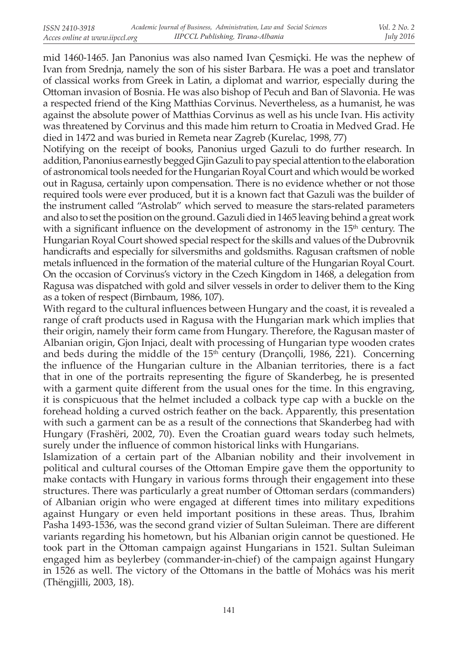mid 1460-1465. Jan Panonius was also named Ivan Çesmiçki. He was the nephew of Ivan from Srednja, namely the son of his sister Barbara. He was a poet and translator of classical works from Greek in Latin, a diplomat and warrior, especially during the Ottoman invasion of Bosnia. He was also bishop of Pecuh and Ban of Slavonia. He was a respected friend of the King Matthias Corvinus. Nevertheless, as a humanist, he was against the absolute power of Matthias Corvinus as well as his uncle Ivan. His activity was threatened by Corvinus and this made him return to Croatia in Medved Grad. He died in 1472 and was buried in Remeta near Zagreb (Kurelac, 1998, 77)

Notifying on the receipt of books, Panonius urged Gazuli to do further research. In addition, Panonius earnestly begged Gjin Gazuli to pay special attention to the elaboration of astronomical tools needed for the Hungarian Royal Court and which would be worked out in Ragusa, certainly upon compensation. There is no evidence whether or not those required tools were ever produced, but it is a known fact that Gazuli was the builder of the instrument called "Astrolab" which served to measure the stars-related parameters and also to set the position on the ground. Gazuli died in 1465 leaving behind a great work with a significant influence on the development of astronomy in the  $15<sup>th</sup>$  century. The Hungarian Royal Court showed special respect for the skills and values of the Dubrovnik handicrafts and especially for silversmiths and goldsmiths. Ragusan craftsmen of noble metals influenced in the formation of the material culture of the Hungarian Royal Court. On the occasion of Corvinus's victory in the Czech Kingdom in 1468, a delegation from Ragusa was dispatched with gold and silver vessels in order to deliver them to the King as a token of respect (Birnbaum, 1986, 107).

With regard to the cultural influences between Hungary and the coast, it is revealed a range of craft products used in Ragusa with the Hungarian mark which implies that their origin, namely their form came from Hungary. Therefore, the Ragusan master of Albanian origin, Gjon Injaci, dealt with processing of Hungarian type wooden crates and beds during the middle of the  $15<sup>th</sup>$  century (Drançolli, 1986, 221). Concerning the influence of the Hungarian culture in the Albanian territories, there is a fact that in one of the portraits representing the figure of Skanderbeg, he is presented with a garment quite different from the usual ones for the time. In this engraving, it is conspicuous that the helmet included a colback type cap with a buckle on the forehead holding a curved ostrich feather on the back. Apparently, this presentation with such a garment can be as a result of the connections that Skanderbeg had with Hungary (Frashëri, 2002, 70). Even the Croatian guard wears today such helmets, surely under the influence of common historical links with Hungarians.

Islamization of a certain part of the Albanian nobility and their involvement in political and cultural courses of the Ottoman Empire gave them the opportunity to make contacts with Hungary in various forms through their engagement into these structures. There was particularly a great number of Ottoman serdars (commanders) of Albanian origin who were engaged at different times into military expeditions against Hungary or even held important positions in these areas. Thus, Ibrahim Pasha 1493-1536, was the second grand vizier of Sultan Suleiman. There are different variants regarding his hometown, but his Albanian origin cannot be questioned. He took part in the Ottoman campaign against Hungarians in 1521. Sultan Suleiman engaged him as beylerbey (commander-in-chief) of the campaign against Hungary in 1526 as well. The victory of the Ottomans in the battle of Mohács was his merit (Thëngjilli, 2003, 18).